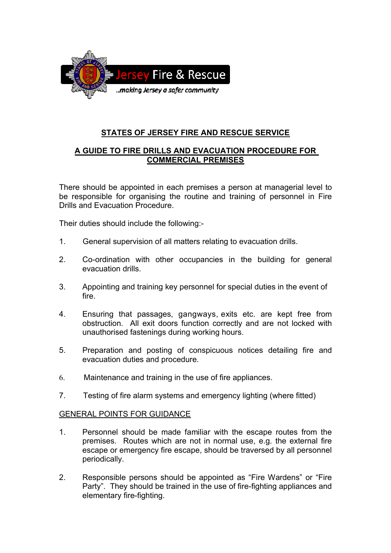

# **STATES OF JERSEY FIRE AND RESCUE SERVICE**

## **A GUIDE TO FIRE DRILLS AND EVACUATION PROCEDURE FOR COMMERCIAL PREMISES**

There should be appointed in each premises a person at managerial level to be responsible for organising the routine and training of personnel in Fire Drills and Evacuation Procedure.

Their duties should include the following:-

- 1. General supervision of all matters relating to evacuation drills.
- 2. Co-ordination with other occupancies in the building for general evacuation drills.
- 3. Appointing and training key personnel for special duties in the event of fire.
- 4. Ensuring that passages, gangways, exits etc. are kept free from obstruction. All exit doors function correctly and are not locked with unauthorised fastenings during working hours.
- 5. Preparation and posting of conspicuous notices detailing fire and evacuation duties and procedure.
- 6. Maintenance and training in the use of fire appliances.
- 7. Testing of fire alarm systems and emergency lighting (where fitted)

#### GENERAL POINTS FOR GUIDANCE

- 1. Personnel should be made familiar with the escape routes from the premises. Routes which are not in normal use, e.g. the external fire escape or emergency fire escape, should be traversed by all personnel periodically.
- 2. Responsible persons should be appointed as "Fire Wardens" or "Fire Party". They should be trained in the use of fire-fighting appliances and elementary fire-fighting.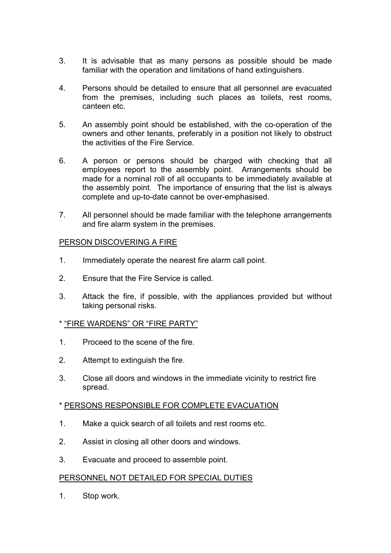- 3. It is advisable that as many persons as possible should be made familiar with the operation and limitations of hand extinguishers.
- 4. Persons should be detailed to ensure that all personnel are evacuated from the premises, including such places as toilets, rest rooms, canteen etc.
- 5. An assembly point should be established, with the co-operation of the owners and other tenants, preferably in a position not likely to obstruct the activities of the Fire Service.
- 6. A person or persons should be charged with checking that all employees report to the assembly point. Arrangements should be made for a nominal roll of all occupants to be immediately available at the assembly point. The importance of ensuring that the list is always complete and up-to-date cannot be over-emphasised.
- 7. All personnel should be made familiar with the telephone arrangements and fire alarm system in the premises.

## PERSON DISCOVERING A FIRE

- 1. Immediately operate the nearest fire alarm call point.
- 2. Ensure that the Fire Service is called.
- 3. Attack the fire, if possible, with the appliances provided but without taking personal risks.

## \* "FIRE WARDENS" OR "FIRE PARTY"

- 1. Proceed to the scene of the fire.
- 2. Attempt to extinguish the fire.
- 3. Close all doors and windows in the immediate vicinity to restrict fire spread.

# \* PERSONS RESPONSIBLE FOR COMPLETE EVACUATION

- 1. Make a quick search of all toilets and rest rooms etc.
- 2. Assist in closing all other doors and windows.
- 3. Evacuate and proceed to assemble point.

## PERSONNEL NOT DETAILED FOR SPECIAL DUTIES

1. Stop work.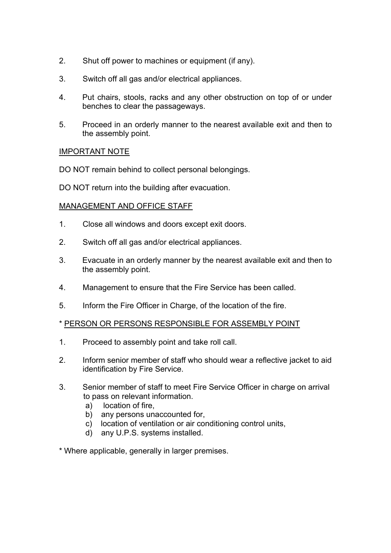- 2. Shut off power to machines or equipment (if any).
- 3. Switch off all gas and/or electrical appliances.
- 4. Put chairs, stools, racks and any other obstruction on top of or under benches to clear the passageways.
- 5. Proceed in an orderly manner to the nearest available exit and then to the assembly point.

### IMPORTANT NOTE

DO NOT remain behind to collect personal belongings.

DO NOT return into the building after evacuation.

### MANAGEMENT AND OFFICE STAFF

- 1. Close all windows and doors except exit doors.
- 2. Switch off all gas and/or electrical appliances.
- 3. Evacuate in an orderly manner by the nearest available exit and then to the assembly point.
- 4. Management to ensure that the Fire Service has been called.
- 5. Inform the Fire Officer in Charge, of the location of the fire.

#### \* PERSON OR PERSONS RESPONSIBLE FOR ASSEMBLY POINT

- 1. Proceed to assembly point and take roll call.
- 2. Inform senior member of staff who should wear a reflective jacket to aid identification by Fire Service.
- 3. Senior member of staff to meet Fire Service Officer in charge on arrival to pass on relevant information.
	- a) location of fire,
	- b) any persons unaccounted for,
	- c) location of ventilation or air conditioning control units,
	- d) any U.P.S. systems installed.

\* Where applicable, generally in larger premises.